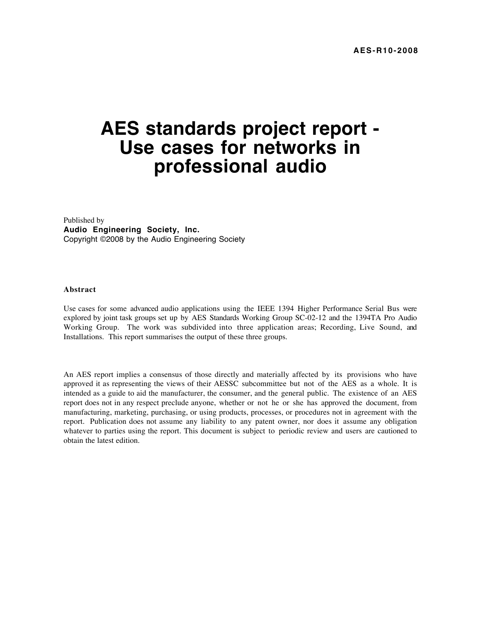# **AES standards project report - Use cases for networks in professional audio**

Published by **Audio Engineering Society, Inc.** Copyright ©2008 by the Audio Engineering Society

### **Abstract**

Use cases for some advanced audio applications using the IEEE 1394 Higher Performance Serial Bus were explored by joint task groups set up by AES Standards Working Group SC-02-12 and the 1394TA Pro Audio Working Group. The work was subdivided into three application areas; Recording, Live Sound, and Installations. This report summarises the output of these three groups.

An AES report implies a consensus of those directly and materially affected by its provisions who have approved it as representing the views of their AESSC subcommittee but not of the AES as a whole. It is intended as a guide to aid the manufacturer, the consumer, and the general public. The existence of an AES report does not in any respect preclude anyone, whether or not he or she has approved the document, from manufacturing, marketing, purchasing, or using products, processes, or procedures not in agreement with the report. Publication does not assume any liability to any patent owner, nor does it assume any obligation whatever to parties using the report. This document is subject to periodic review and users are cautioned to obtain the latest edition.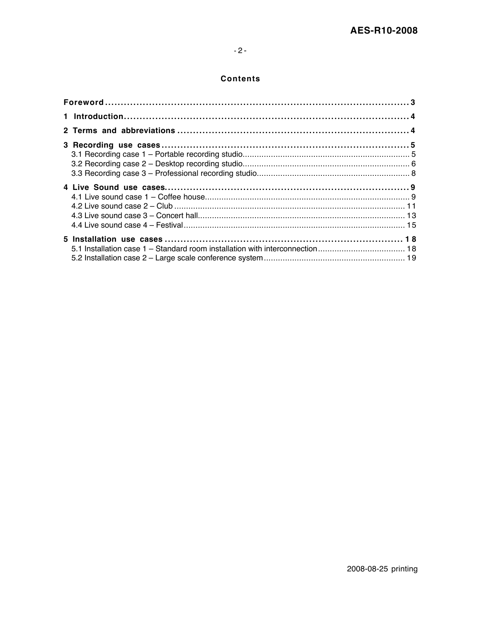# $-2-$

# **Contents**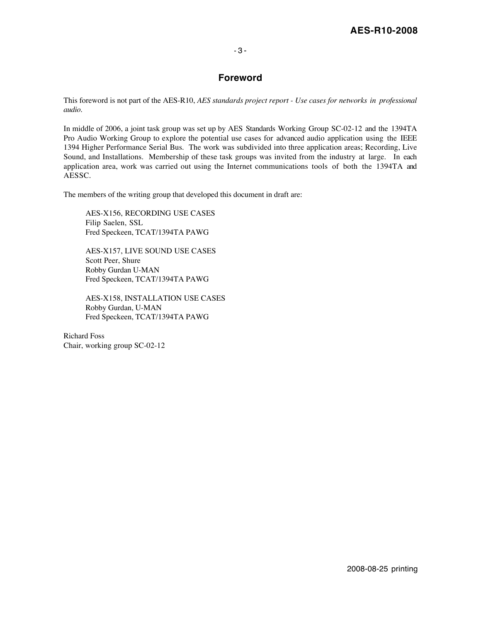### - 3 -

# **Foreword**

This foreword is not part of the AES-R10, *AES standards project report - Use cases for networks in professional audio*.

In middle of 2006, a joint task group was set up by AES Standards Working Group SC-02-12 and the 1394TA Pro Audio Working Group to explore the potential use cases for advanced audio application using the IEEE 1394 Higher Performance Serial Bus. The work was subdivided into three application areas; Recording, Live Sound, and Installations. Membership of these task groups was invited from the industry at large. In each application area, work was carried out using the Internet communications tools of both the 1394TA and AESSC.

The members of the writing group that developed this document in draft are:

AES-X156, RECORDING USE CASES Filip Saelen, SSL Fred Speckeen, TCAT/1394TA PAWG

AES-X157, LIVE SOUND USE CASES Scott Peer, Shure Robby Gurdan U-MAN Fred Speckeen, TCAT/1394TA PAWG

AES-X158, INSTALLATION USE CASES Robby Gurdan, U-MAN Fred Speckeen, TCAT/1394TA PAWG

Richard Foss Chair, working group SC-02-12